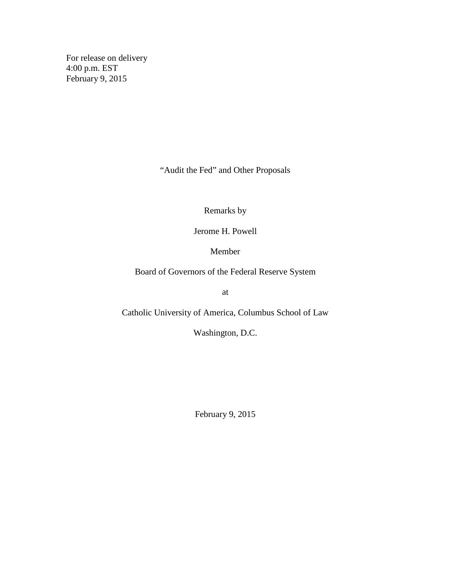For release on delivery 4:00 p.m. EST February 9, 2015

"Audit the Fed" and Other Proposals

Remarks by

Jerome H. Powell

Member

Board of Governors of the Federal Reserve System

at

Catholic University of America, Columbus School of Law

Washington, D.C.

February 9, 2015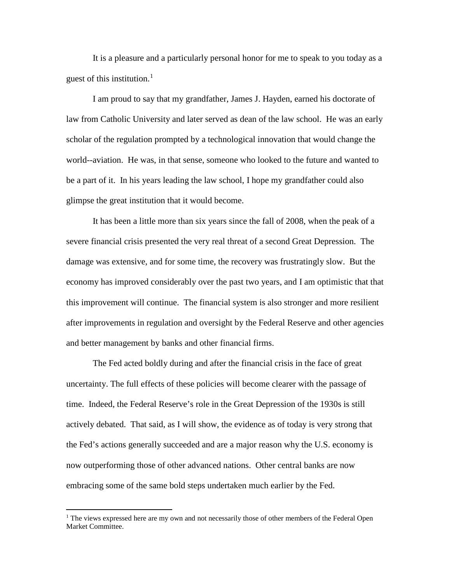It is a pleasure and a particularly personal honor for me to speak to you today as a guest of this institution.<sup>[1](#page-1-0)</sup>

I am proud to say that my grandfather, James J. Hayden, earned his doctorate of law from Catholic University and later served as dean of the law school. He was an early scholar of the regulation prompted by a technological innovation that would change the world--aviation. He was, in that sense, someone who looked to the future and wanted to be a part of it. In his years leading the law school, I hope my grandfather could also glimpse the great institution that it would become.

It has been a little more than six years since the fall of 2008, when the peak of a severe financial crisis presented the very real threat of a second Great Depression. The damage was extensive, and for some time, the recovery was frustratingly slow. But the economy has improved considerably over the past two years, and I am optimistic that that this improvement will continue. The financial system is also stronger and more resilient after improvements in regulation and oversight by the Federal Reserve and other agencies and better management by banks and other financial firms.

The Fed acted boldly during and after the financial crisis in the face of great uncertainty. The full effects of these policies will become clearer with the passage of time. Indeed, the Federal Reserve's role in the Great Depression of the 1930s is still actively debated. That said, as I will show, the evidence as of today is very strong that the Fed's actions generally succeeded and are a major reason why the U.S. economy is now outperforming those of other advanced nations. Other central banks are now embracing some of the same bold steps undertaken much earlier by the Fed.

<span id="page-1-0"></span><sup>&</sup>lt;sup>1</sup> The views expressed here are my own and not necessarily those of other members of the Federal Open Market Committee.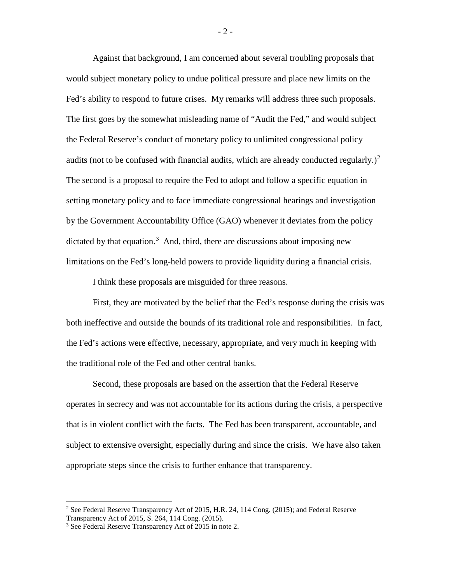Against that background, I am concerned about several troubling proposals that would subject monetary policy to undue political pressure and place new limits on the Fed's ability to respond to future crises. My remarks will address three such proposals. The first goes by the somewhat misleading name of "Audit the Fed," and would subject the Federal Reserve's conduct of monetary policy to unlimited congressional policy audits (not to be confused with financial audits, which are already conducted regularly.)<sup>[2](#page-2-0)</sup> The second is a proposal to require the Fed to adopt and follow a specific equation in setting monetary policy and to face immediate congressional hearings and investigation by the Government Accountability Office (GAO) whenever it deviates from the policy dictated by that equation.<sup>[3](#page-2-1)</sup> And, third, there are discussions about imposing new limitations on the Fed's long-held powers to provide liquidity during a financial crisis.

I think these proposals are misguided for three reasons.

First, they are motivated by the belief that the Fed's response during the crisis was both ineffective and outside the bounds of its traditional role and responsibilities. In fact, the Fed's actions were effective, necessary, appropriate, and very much in keeping with the traditional role of the Fed and other central banks.

Second, these proposals are based on the assertion that the Federal Reserve operates in secrecy and was not accountable for its actions during the crisis, a perspective that is in violent conflict with the facts. The Fed has been transparent, accountable, and subject to extensive oversight, especially during and since the crisis. We have also taken appropriate steps since the crisis to further enhance that transparency.

<span id="page-2-0"></span><sup>&</sup>lt;sup>2</sup> See Federal Reserve Transparency Act of 2015, H.R. 24, 114 Cong. (2015); and Federal Reserve Transparency Act of 2015, S. 264, 114 Cong. (2015).

<span id="page-2-1"></span><sup>3</sup> See Federal Reserve Transparency Act of 2015 in note 2.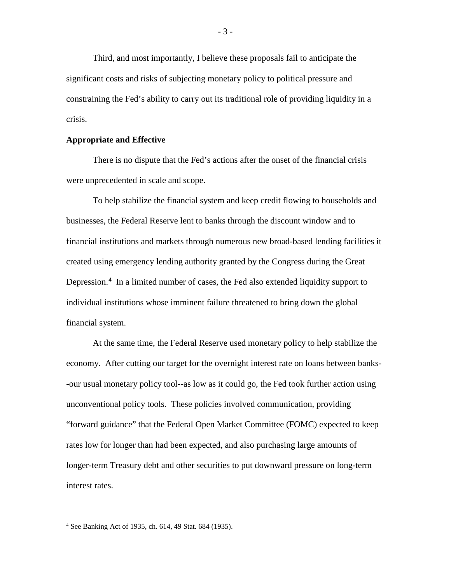Third, and most importantly, I believe these proposals fail to anticipate the significant costs and risks of subjecting monetary policy to political pressure and constraining the Fed's ability to carry out its traditional role of providing liquidity in a crisis.

## **Appropriate and Effective**

There is no dispute that the Fed's actions after the onset of the financial crisis were unprecedented in scale and scope.

To help stabilize the financial system and keep credit flowing to households and businesses, the Federal Reserve lent to banks through the discount window and to financial institutions and markets through numerous new broad-based lending facilities it created using emergency lending authority granted by the Congress during the Great Depression.<sup>[4](#page-3-0)</sup> In a limited number of cases, the Fed also extended liquidity support to individual institutions whose imminent failure threatened to bring down the global financial system.

At the same time, the Federal Reserve used monetary policy to help stabilize the economy. After cutting our target for the overnight interest rate on loans between banks- -our usual monetary policy tool--as low as it could go, the Fed took further action using unconventional policy tools. These policies involved communication, providing "forward guidance" that the Federal Open Market Committee (FOMC) expected to keep rates low for longer than had been expected, and also purchasing large amounts of longer-term Treasury debt and other securities to put downward pressure on long-term interest rates.

<span id="page-3-0"></span><sup>4</sup> See Banking Act of 1935, ch. 614, 49 Stat. 684 (1935).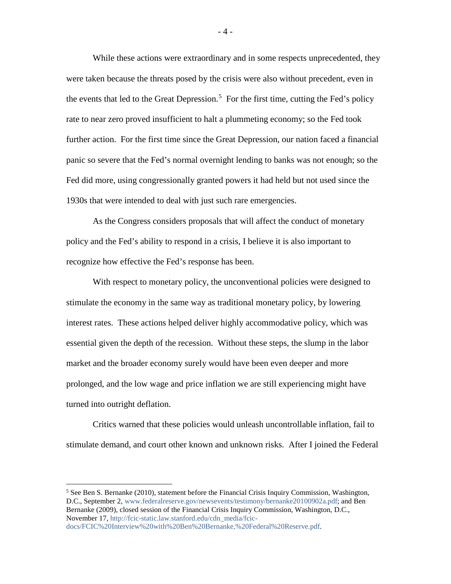While these actions were extraordinary and in some respects unprecedented, they were taken because the threats posed by the crisis were also without precedent, even in the events that led to the Great Depression.<sup>[5](#page-4-0)</sup> For the first time, cutting the Fed's policy rate to near zero proved insufficient to halt a plummeting economy; so the Fed took further action. For the first time since the Great Depression, our nation faced a financial panic so severe that the Fed's normal overnight lending to banks was not enough; so the Fed did more, using congressionally granted powers it had held but not used since the 1930s that were intended to deal with just such rare emergencies.

As the Congress considers proposals that will affect the conduct of monetary policy and the Fed's ability to respond in a crisis, I believe it is also important to recognize how effective the Fed's response has been.

With respect to monetary policy, the unconventional policies were designed to stimulate the economy in the same way as traditional monetary policy, by lowering interest rates. These actions helped deliver highly accommodative policy, which was essential given the depth of the recession. Without these steps, the slump in the labor market and the broader economy surely would have been even deeper and more prolonged, and the low wage and price inflation we are still experiencing might have turned into outright deflation.

Critics warned that these policies would unleash uncontrollable inflation, fail to stimulate demand, and court other known and unknown risks. After I joined the Federal

 $\overline{a}$ 

 $-4-$ 

<span id="page-4-0"></span><sup>&</sup>lt;sup>5</sup> See Ben S. Bernanke (2010), statement before the Financial Crisis Inquiry Commission, Washington, D.C., September 2, [www.federalreserve.gov/newsevents/testimony/bernanke20100902a.pdf;](http://www.federalreserve.gov/newsevents/testimony/bernanke20100902a.pdf) and Ben Bernanke (2009), closed session of the Financial Crisis Inquiry Commission, Washington, D.C., November 17[, http://fcic-static.law.stanford.edu/cdn\\_media/fcic-](http://fcic-static.law.stanford.edu/cdn_media/fcic-docs/FCIC%20Interview%20with%20Ben%20Bernanke,%20Federal%20Reserve.pdf)

[docs/FCIC%20Interview%20with%20Ben%20Bernanke,%20Federal%20Reserve.pdf.](http://fcic-static.law.stanford.edu/cdn_media/fcic-docs/FCIC%20Interview%20with%20Ben%20Bernanke,%20Federal%20Reserve.pdf)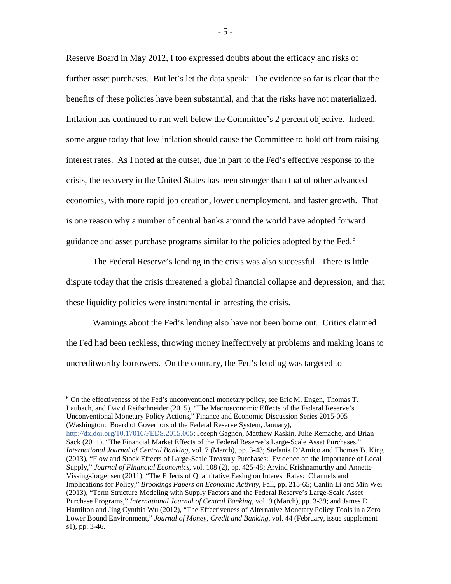Reserve Board in May 2012, I too expressed doubts about the efficacy and risks of further asset purchases. But let's let the data speak: The evidence so far is clear that the benefits of these policies have been substantial, and that the risks have not materialized. Inflation has continued to run well below the Committee's 2 percent objective. Indeed, some argue today that low inflation should cause the Committee to hold off from raising interest rates. As I noted at the outset, due in part to the Fed's effective response to the crisis, the recovery in the United States has been stronger than that of other advanced economies, with more rapid job creation, lower unemployment, and faster growth. That is one reason why a number of central banks around the world have adopted forward guidance and asset purchase programs similar to the policies adopted by the Fed.<sup>[6](#page-5-0)</sup>

The Federal Reserve's lending in the crisis was also successful. There is little dispute today that the crisis threatened a global financial collapse and depression, and that these liquidity policies were instrumental in arresting the crisis.

Warnings about the Fed's lending also have not been borne out. Critics claimed the Fed had been reckless, throwing money ineffectively at problems and making loans to uncreditworthy borrowers. On the contrary, the Fed's lending was targeted to

 $\overline{a}$ 

<span id="page-5-0"></span><sup>6</sup> On the effectiveness of the Fed's unconventional monetary policy, see Eric M. Engen, Thomas T. Laubach, and David Reifschneider (2015), "The Macroeconomic Effects of the Federal Reserve's Unconventional Monetary Policy Actions," Finance and Economic Discussion Series 2015-005 (Washington: Board of Governors of the Federal Reserve System, January), [http://dx.doi.org/10.17016/FEDS.2015.005;](http://dx.doi.org/10.17016/FEDS.2015.005) Joseph Gagnon, Matthew Raskin, Julie Remache, and Brian Sack (2011), "The Financial Market Effects of the Federal Reserve's Large-Scale Asset Purchases," *International Journal of Central Banking*, vol. 7 (March), pp. 3-43; Stefania D'Amico and Thomas B. King (2013), "Flow and Stock Effects of Large-Scale Treasury Purchases: Evidence on the Importance of Local Supply," *Journal of Financial Economics*, vol. 108 (2), pp. 425-48; Arvind Krishnamurthy and Annette Vissing-Jorgensen (2011), "The Effects of Quantitative Easing on Interest Rates: Channels and Implications for Policy," *Brookings Papers on Economic Activity*, Fall, pp. 215-65; Canlin Li and Min Wei (2013), "Term Structure Modeling with Supply Factors and the Federal Reserve's Large-Scale Asset Purchase Programs," *International Journal of Central Banking*, vol. 9 (March), pp. 3-39; and James D. Hamilton and Jing Cynthia Wu (2012), "The Effectiveness of Alternative Monetary Policy Tools in a Zero Lower Bound Environment," *Journal of Money, Credit and Banking*, vol. 44 (February, issue supplement s1), pp. 3-46.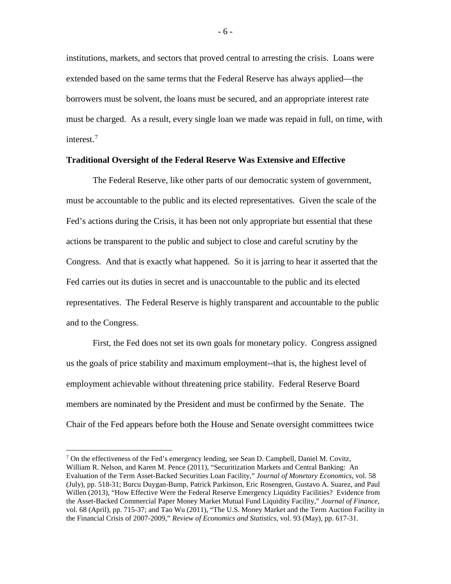institutions, markets, and sectors that proved central to arresting the crisis. Loans were extended based on the same terms that the Federal Reserve has always applied—the borrowers must be solvent, the loans must be secured, and an appropriate interest rate must be charged. As a result, every single loan we made was repaid in full, on time, with interest.[7](#page-6-0)

## **Traditional Oversight of the Federal Reserve Was Extensive and Effective**

The Federal Reserve, like other parts of our democratic system of government, must be accountable to the public and its elected representatives. Given the scale of the Fed's actions during the Crisis, it has been not only appropriate but essential that these actions be transparent to the public and subject to close and careful scrutiny by the Congress. And that is exactly what happened. So it is jarring to hear it asserted that the Fed carries out its duties in secret and is unaccountable to the public and its elected representatives. The Federal Reserve is highly transparent and accountable to the public and to the Congress.

First, the Fed does not set its own goals for monetary policy. Congress assigned us the goals of price stability and maximum employment--that is, the highest level of employment achievable without threatening price stability. Federal Reserve Board members are nominated by the President and must be confirmed by the Senate. The Chair of the Fed appears before both the House and Senate oversight committees twice

<span id="page-6-0"></span> $7$  On the effectiveness of the Fed's emergency lending, see Sean D. Campbell, Daniel M. Covitz, William R. Nelson, and Karen M. Pence (2011), "Securitization Markets and Central Banking: An Evaluation of the Term Asset-Backed Securities Loan Facility," *Journal of Monetary Economics*, vol. 58 (July), pp. 518-31; Burcu Duygan-Bump, Patrick Parkinson, Eric Rosengren, Gustavo A. Suarez, and Paul Willen (2013), "How Effective Were the Federal Reserve Emergency Liquidity Facilities? Evidence from the Asset-Backed Commercial Paper Money Market Mutual Fund Liquidity Facility," *Journal of Finance*, vol. 68 (April), pp. 715-37; and Tao Wu (2011), "The U.S. Money Market and the Term Auction Facility in the Financial Crisis of 2007-2009," *Review of Economics and Statistics*, vol. 93 (May), pp. 617-31.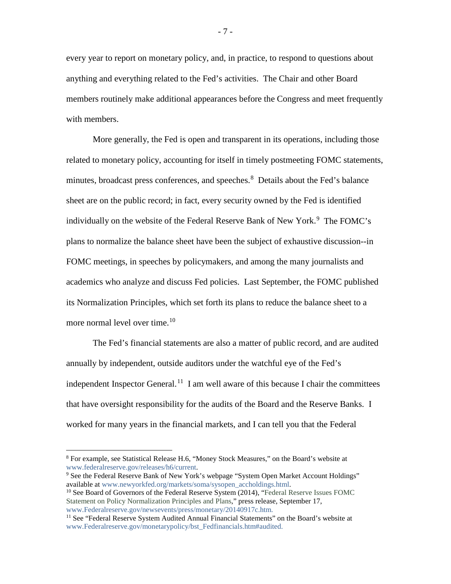every year to report on monetary policy, and, in practice, to respond to questions about anything and everything related to the Fed's activities. The Chair and other Board members routinely make additional appearances before the Congress and meet frequently with members.

More generally, the Fed is open and transparent in its operations, including those related to monetary policy, accounting for itself in timely postmeeting FOMC statements, minutes, broadcast press conferences, and speeches.<sup>[8](#page-7-0)</sup> Details about the Fed's balance sheet are on the public record; in fact, every security owned by the Fed is identified individually on the website of the Federal Reserve Bank of New York.<sup>[9](#page-7-1)</sup> The FOMC's plans to normalize the balance sheet have been the subject of exhaustive discussion--in FOMC meetings, in speeches by policymakers, and among the many journalists and academics who analyze and discuss Fed policies. Last September, the FOMC published its Normalization Principles, which set forth its plans to reduce the balance sheet to a more normal level over time.<sup>[10](#page-7-2)</sup>

The Fed's financial statements are also a matter of public record, and are audited annually by independent, outside auditors under the watchful eye of the Fed's independent Inspector General.<sup>[11](#page-7-3)</sup> I am well aware of this because I chair the committees that have oversight responsibility for the audits of the Board and the Reserve Banks. I worked for many years in the financial markets, and I can tell you that the Federal

<span id="page-7-0"></span> $8$  For example, see Statistical Release H.6, "Money Stock Measures," on the Board's website at www.federalreserve.gov/releases/h6/current.

<span id="page-7-1"></span><sup>&</sup>lt;sup>9</sup> See the Federal Reserve Bank of New York's webpage "System Open Market Account Holdings" available at [www.newyorkfed.org/markets/soma/sysopen\\_accholdings.html.](http://www.newyorkfed.org/markets/soma/sysopen_accholdings.html)

<span id="page-7-2"></span><sup>&</sup>lt;sup>10</sup> See Board of Governors of the Federal Reserve System (2014), "Federal Reserve Issues FOMC Statement on Policy Normalization Principles and Plans," press release, September 17, [www.Federalreserve.gov/newsevents/press/monetary/20140917c.htm.](http://www.federalreserve.gov/newsevents/press/monetary/20140917c.htm)

<span id="page-7-3"></span> $11$  See "Federal Reserve System Audited Annual Financial Statements" on the Board's website at [www.Federalreserve.gov/monetarypolicy/bst\\_Fedfinancials.htm#audited.](http://www.federalreserve.gov/monetarypolicy/bst_Fedfinancials.htm%23audited)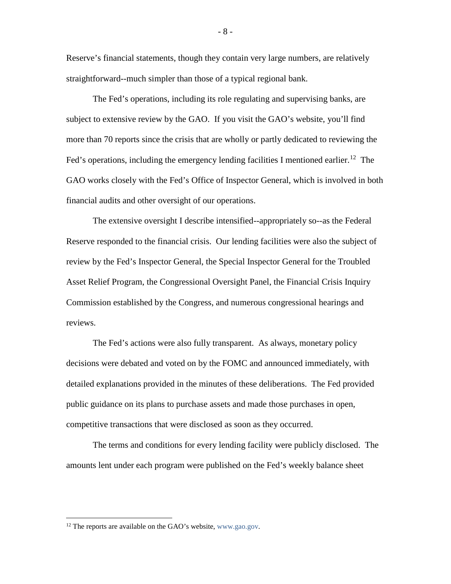Reserve's financial statements, though they contain very large numbers, are relatively straightforward--much simpler than those of a typical regional bank.

The Fed's operations, including its role regulating and supervising banks, are subject to extensive review by the GAO. If you visit the GAO's website, you'll find more than 70 reports since the crisis that are wholly or partly dedicated to reviewing the Fed's operations, including the emergency lending facilities I mentioned earlier.<sup>12</sup> The GAO works closely with the Fed's Office of Inspector General, which is involved in both financial audits and other oversight of our operations.

The extensive oversight I describe intensified--appropriately so--as the Federal Reserve responded to the financial crisis. Our lending facilities were also the subject of review by the Fed's Inspector General, the Special Inspector General for the Troubled Asset Relief Program, the Congressional Oversight Panel, the Financial Crisis Inquiry Commission established by the Congress, and numerous congressional hearings and reviews.

The Fed's actions were also fully transparent. As always, monetary policy decisions were debated and voted on by the FOMC and announced immediately, with detailed explanations provided in the minutes of these deliberations. The Fed provided public guidance on its plans to purchase assets and made those purchases in open, competitive transactions that were disclosed as soon as they occurred.

The terms and conditions for every lending facility were publicly disclosed. The amounts lent under each program were published on the Fed's weekly balance sheet

<span id="page-8-0"></span><sup>&</sup>lt;sup>12</sup> The reports are available on the GAO's website, [www.gao.gov.](http://www.gao.gov/)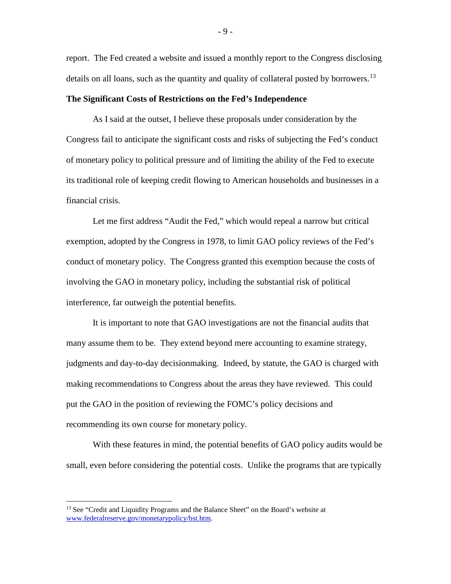report. The Fed created a website and issued a monthly report to the Congress disclosing details on all loans, such as the quantity and quality of collateral posted by borrowers.<sup>[13](#page-9-0)</sup>

## **The Significant Costs of Restrictions on the Fed's Independence**

As I said at the outset, I believe these proposals under consideration by the Congress fail to anticipate the significant costs and risks of subjecting the Fed's conduct of monetary policy to political pressure and of limiting the ability of the Fed to execute its traditional role of keeping credit flowing to American households and businesses in a financial crisis.

Let me first address "Audit the Fed," which would repeal a narrow but critical exemption, adopted by the Congress in 1978, to limit GAO policy reviews of the Fed's conduct of monetary policy. The Congress granted this exemption because the costs of involving the GAO in monetary policy, including the substantial risk of political interference, far outweigh the potential benefits.

It is important to note that GAO investigations are not the financial audits that many assume them to be. They extend beyond mere accounting to examine strategy, judgments and day-to-day decisionmaking. Indeed, by statute, the GAO is charged with making recommendations to Congress about the areas they have reviewed. This could put the GAO in the position of reviewing the FOMC's policy decisions and recommending its own course for monetary policy.

With these features in mind, the potential benefits of GAO policy audits would be small, even before considering the potential costs. Unlike the programs that are typically

 $\overline{a}$ 

- 9 -

<span id="page-9-0"></span><sup>&</sup>lt;sup>13</sup> See "Credit and Liquidity Programs and the Balance Sheet" on the Board's website at [www.federalreserve.gov/monetarypolicy/bst.htm.](http://www.federalreserve.gov/monetarypolicy/bst.htm)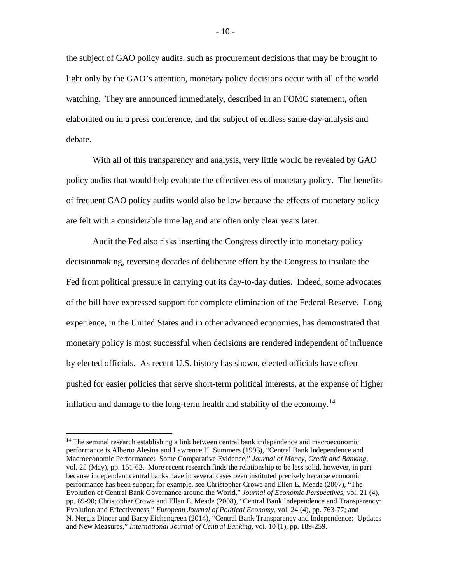the subject of GAO policy audits, such as procurement decisions that may be brought to light only by the GAO's attention, monetary policy decisions occur with all of the world watching. They are announced immediately, described in an FOMC statement, often elaborated on in a press conference, and the subject of endless same-day-analysis and debate.

With all of this transparency and analysis, very little would be revealed by GAO policy audits that would help evaluate the effectiveness of monetary policy. The benefits of frequent GAO policy audits would also be low because the effects of monetary policy are felt with a considerable time lag and are often only clear years later.

Audit the Fed also risks inserting the Congress directly into monetary policy decisionmaking, reversing decades of deliberate effort by the Congress to insulate the Fed from political pressure in carrying out its day-to-day duties. Indeed, some advocates of the bill have expressed support for complete elimination of the Federal Reserve. Long experience, in the United States and in other advanced economies, has demonstrated that monetary policy is most successful when decisions are rendered independent of influence by elected officials. As recent U.S. history has shown, elected officials have often pushed for easier policies that serve short-term political interests, at the expense of higher inflation and damage to the long-term health and stability of the economy.<sup>[14](#page-10-0)</sup>

<span id="page-10-0"></span> $14$  The seminal research establishing a link between central bank independence and macroeconomic performance is Alberto Alesina and Lawrence H. Summers (1993), "Central Bank Independence and Macroeconomic Performance: Some Comparative Evidence," *Journal of Money, Credit and Banking,* vol. 25 (May), pp. 151-62. More recent research finds the relationship to be less solid, however, in part because independent central banks have in several cases been instituted precisely because economic performance has been subpar; for example, see Christopher Crowe and Ellen E. Meade (2007), "The Evolution of Central Bank Governance around the World," *Journal of Economic Perspectives,* vol. 21 (4), pp. 69-90; Christopher Crowe and Ellen E. Meade (2008), "Central Bank Independence and Transparency: Evolution and Effectiveness," *European Journal of Political Economy,* vol. 24 (4), pp. 763-77; and N. Nergiz Dincer and Barry Eichengreen (2014), "Central Bank Transparency and Independence: Updates and New Measures," *International Journal of Central Banking,* vol. 10 (1), pp. 189-259.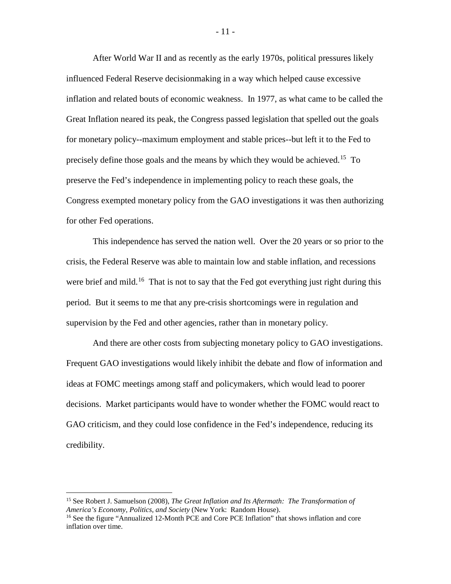After World War II and as recently as the early 1970s, political pressures likely influenced Federal Reserve decisionmaking in a way which helped cause excessive inflation and related bouts of economic weakness. In 1977, as what came to be called the Great Inflation neared its peak, the Congress passed legislation that spelled out the goals for monetary policy--maximum employment and stable prices--but left it to the Fed to precisely define those goals and the means by which they would be achieved.[15](#page-11-0) To preserve the Fed's independence in implementing policy to reach these goals, the Congress exempted monetary policy from the GAO investigations it was then authorizing for other Fed operations.

This independence has served the nation well. Over the 20 years or so prior to the crisis, the Federal Reserve was able to maintain low and stable inflation, and recessions were brief and mild.<sup>[16](#page-11-1)</sup> That is not to say that the Fed got everything just right during this period. But it seems to me that any pre-crisis shortcomings were in regulation and supervision by the Fed and other agencies, rather than in monetary policy.

And there are other costs from subjecting monetary policy to GAO investigations. Frequent GAO investigations would likely inhibit the debate and flow of information and ideas at FOMC meetings among staff and policymakers, which would lead to poorer decisions. Market participants would have to wonder whether the FOMC would react to GAO criticism, and they could lose confidence in the Fed's independence, reducing its credibility.

<span id="page-11-0"></span><sup>15</sup> See Robert J. Samuelson (2008), *The Great Inflation and Its Aftermath: The Transformation of America's Economy, Politics, and Society* (New York: Random House). <sup>16</sup> See the figure "Annualized 12-Month PCE and Core PCE Inflation" that shows inflation and core

<span id="page-11-1"></span>inflation over time.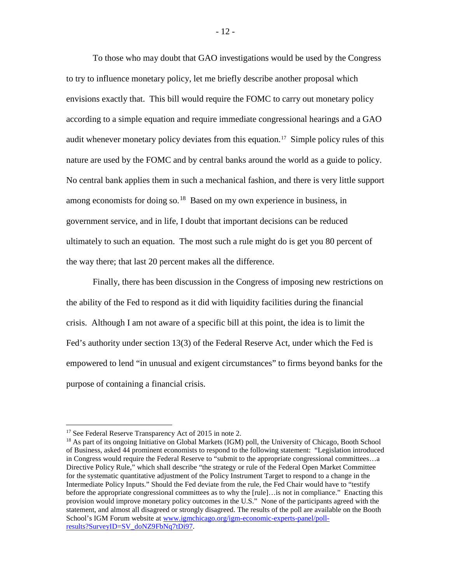To those who may doubt that GAO investigations would be used by the Congress to try to influence monetary policy, let me briefly describe another proposal which envisions exactly that. This bill would require the FOMC to carry out monetary policy according to a simple equation and require immediate congressional hearings and a GAO audit whenever monetary policy deviates from this equation.<sup>[17](#page-12-0)</sup> Simple policy rules of this nature are used by the FOMC and by central banks around the world as a guide to policy. No central bank applies them in such a mechanical fashion, and there is very little support among economists for doing so.<sup>[18](#page-12-1)</sup> Based on my own experience in business, in government service, and in life, I doubt that important decisions can be reduced ultimately to such an equation. The most such a rule might do is get you 80 percent of the way there; that last 20 percent makes all the difference.

Finally, there has been discussion in the Congress of imposing new restrictions on the ability of the Fed to respond as it did with liquidity facilities during the financial crisis. Although I am not aware of a specific bill at this point, the idea is to limit the Fed's authority under section 13(3) of the Federal Reserve Act, under which the Fed is empowered to lend "in unusual and exigent circumstances" to firms beyond banks for the purpose of containing a financial crisis.

<span id="page-12-0"></span><sup>&</sup>lt;sup>17</sup> See Federal Reserve Transparency Act of 2015 in note 2.

<span id="page-12-1"></span><sup>&</sup>lt;sup>18</sup> As part of its ongoing Initiative on Global Markets (IGM) poll, the University of Chicago, Booth School of Business, asked 44 prominent economists to respond to the following statement: "Legislation introduced in Congress would require the Federal Reserve to "submit to the appropriate congressional committees…a Directive Policy Rule," which shall describe "the strategy or rule of the Federal Open Market Committee for the systematic quantitative adjustment of the Policy Instrument Target to respond to a change in the Intermediate Policy Inputs." Should the Fed deviate from the rule, the Fed Chair would have to "testify before the appropriate congressional committees as to why the [rule]…is not in compliance." Enacting this provision would improve monetary policy outcomes in the U.S." None of the participants agreed with the statement, and almost all disagreed or strongly disagreed. The results of the poll are available on the Booth School's IGM Forum website at [www.igmchicago.org/igm-economic-experts-panel/poll](http://www.igmchicago.org/igm-economic-experts-panel/poll-results?SurveyID=SV_doNZ9FbNq7tDi97)[results?SurveyID=SV\\_doNZ9FbNq7tDi97.](http://www.igmchicago.org/igm-economic-experts-panel/poll-results?SurveyID=SV_doNZ9FbNq7tDi97)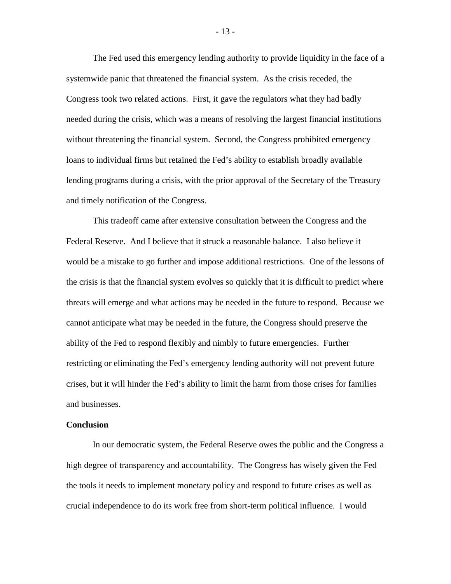The Fed used this emergency lending authority to provide liquidity in the face of a systemwide panic that threatened the financial system. As the crisis receded, the Congress took two related actions. First, it gave the regulators what they had badly needed during the crisis, which was a means of resolving the largest financial institutions without threatening the financial system. Second, the Congress prohibited emergency loans to individual firms but retained the Fed's ability to establish broadly available lending programs during a crisis, with the prior approval of the Secretary of the Treasury and timely notification of the Congress.

This tradeoff came after extensive consultation between the Congress and the Federal Reserve. And I believe that it struck a reasonable balance. I also believe it would be a mistake to go further and impose additional restrictions. One of the lessons of the crisis is that the financial system evolves so quickly that it is difficult to predict where threats will emerge and what actions may be needed in the future to respond. Because we cannot anticipate what may be needed in the future, the Congress should preserve the ability of the Fed to respond flexibly and nimbly to future emergencies. Further restricting or eliminating the Fed's emergency lending authority will not prevent future crises, but it will hinder the Fed's ability to limit the harm from those crises for families and businesses.

## **Conclusion**

In our democratic system, the Federal Reserve owes the public and the Congress a high degree of transparency and accountability. The Congress has wisely given the Fed the tools it needs to implement monetary policy and respond to future crises as well as crucial independence to do its work free from short-term political influence. I would

- 13 -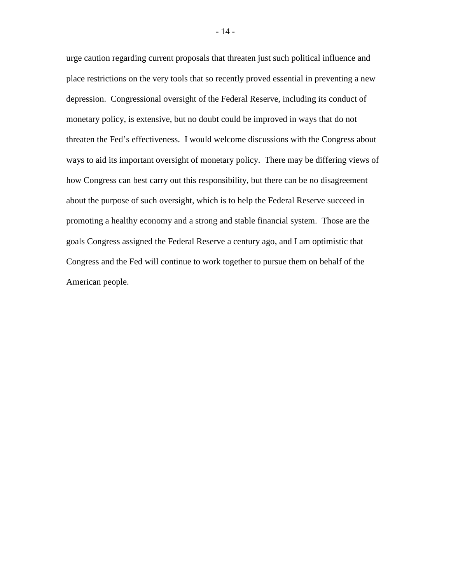urge caution regarding current proposals that threaten just such political influence and place restrictions on the very tools that so recently proved essential in preventing a new depression. Congressional oversight of the Federal Reserve, including its conduct of monetary policy, is extensive, but no doubt could be improved in ways that do not threaten the Fed's effectiveness. I would welcome discussions with the Congress about ways to aid its important oversight of monetary policy. There may be differing views of how Congress can best carry out this responsibility, but there can be no disagreement about the purpose of such oversight, which is to help the Federal Reserve succeed in promoting a healthy economy and a strong and stable financial system. Those are the goals Congress assigned the Federal Reserve a century ago, and I am optimistic that Congress and the Fed will continue to work together to pursue them on behalf of the American people.